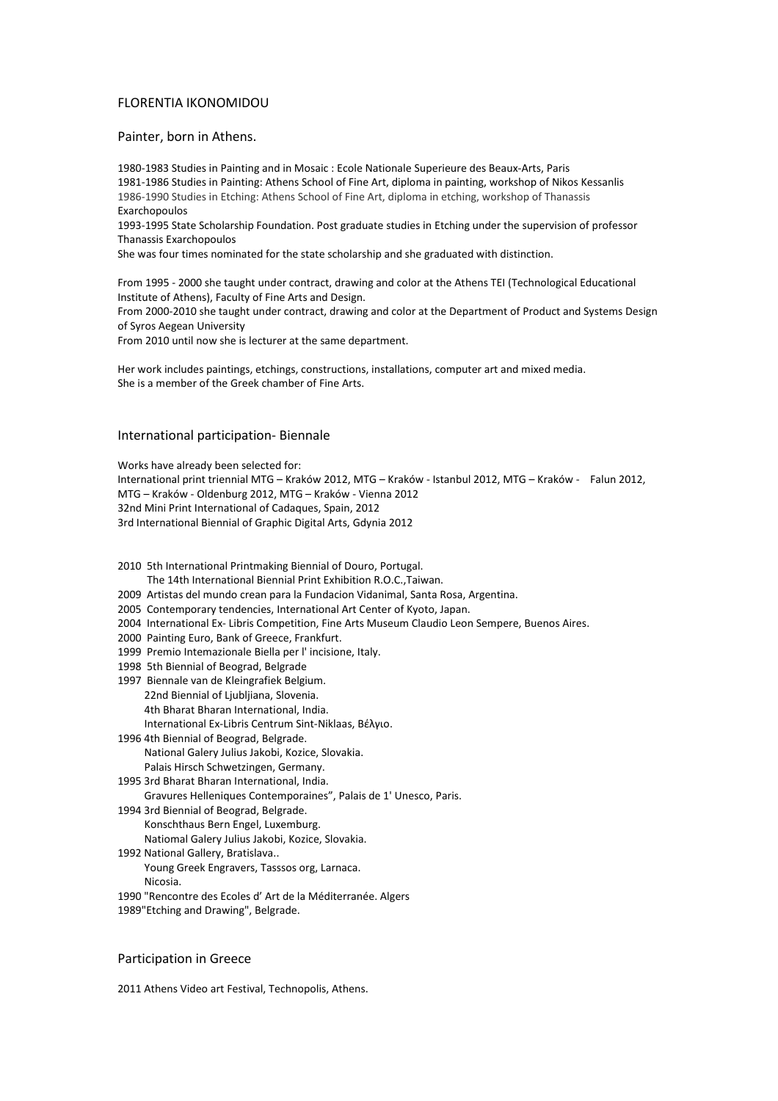## FLORENTIA IKONOMIDOU

Painter, born in Athens.

1980-1983 Studies in Painting and in Mosaic : Ecole Nationale Superieure des Beaux-Arts, Paris 1981-1986 Studies in Painting: Athens School of Fine Art, diploma in painting, workshop of Nikos Kessanlis 1986-1990 Studies in Etching: Athens School of Fine Art, diploma in etching, workshop of Thanassis Exarchopoulos

1993-1995 State Scholarship Foundation. Post graduate studies in Etching under the supervision of professor Thanassis Exarchopoulos

She was four times nominated for the state scholarship and she graduated with distinction.

From 1995 - 2000 she taught under contract, drawing and color at the Athens TEI (Technological Educational Institute of Athens), Faculty of Fine Arts and Design.

From 2000-2010 she taught under contract, drawing and color at the Department of Product and Systems Design of Syros Aegean University

From 2010 until now she is lecturer at the same department.

Her work includes paintings, etchings, constructions, installations, computer art and mixed media. She is a member of the Greek chamber of Fine Arts.

# International participation- Biennale

Works have already been selected for:

International print triennial MTG – Kraków 2012, MTG – Kraków - Istanbul 2012, MTG – Kraków - Falun 2012, MTG – Kraków - Oldenburg 2012, MTG – Kraków - Vienna 2012 32nd Mini Print International of Cadaques, Spain, 2012 3rd International Biennial of Graphic Digital Arts, Gdynia 2012

2010 5th International Printmaking Biennial of Douro, Portugal.

The 14th International Biennial Print Exhibition R.O.C.,Taiwan.

- 2009 Artistas del mundo crean para la Fundacion Vidanimal, Santa Rosa, Argentina.
- 2005 Contemporary tendencies, International Art Center of Kyoto, Japan.
- 2004 International Ex- Libris Competition, Fine Arts Museum Claudio Leon Sempere, Buenos Aires.
- 2000 Painting Euro, Bank of Greece, Frankfurt.
- 1999 Premio Intemazionale Biella per l' incisione, Italy.
- 1998 5th Biennial of Beograd, Belgrade
- 1997 Biennale van de Kleingrafiek Belgium. 22nd Biennial of Ljubljiana, Slovenia. 4th Bharat Bharan International, India. International Ex-Libris Centrum Sint-Niklaas, Βέλγιο.
- 1996 4th Biennial of Beograd, Belgrade. National Galery Julius Jakobi, Kozice, Slovakia. Palais Hirsch Schwetzingen, Germany.
- 1995 3rd Bharat Bharan International, India. Gravures Helleniques Contemporaines", Palais de 1' Unesco, Paris.
- 1994 3rd Biennial of Beograd, Belgrade. Konschthaus Bern Engel, Luxemburg.
	- Natiomal Galery Julius Jakobi, Kozice, Slovakia.
- 1992 National Gallery, Bratislava.. Young Greek Engravers, Tasssos org, Larnaca. Nicosia.
- 1990 "Rencontre des Ecoles d' Art de la Méditerranée. Algers
- 1989"Etching and Drawing", Belgrade.

### Participation in Greece

2011 Athens Video art Festival, Technopolis, Athens.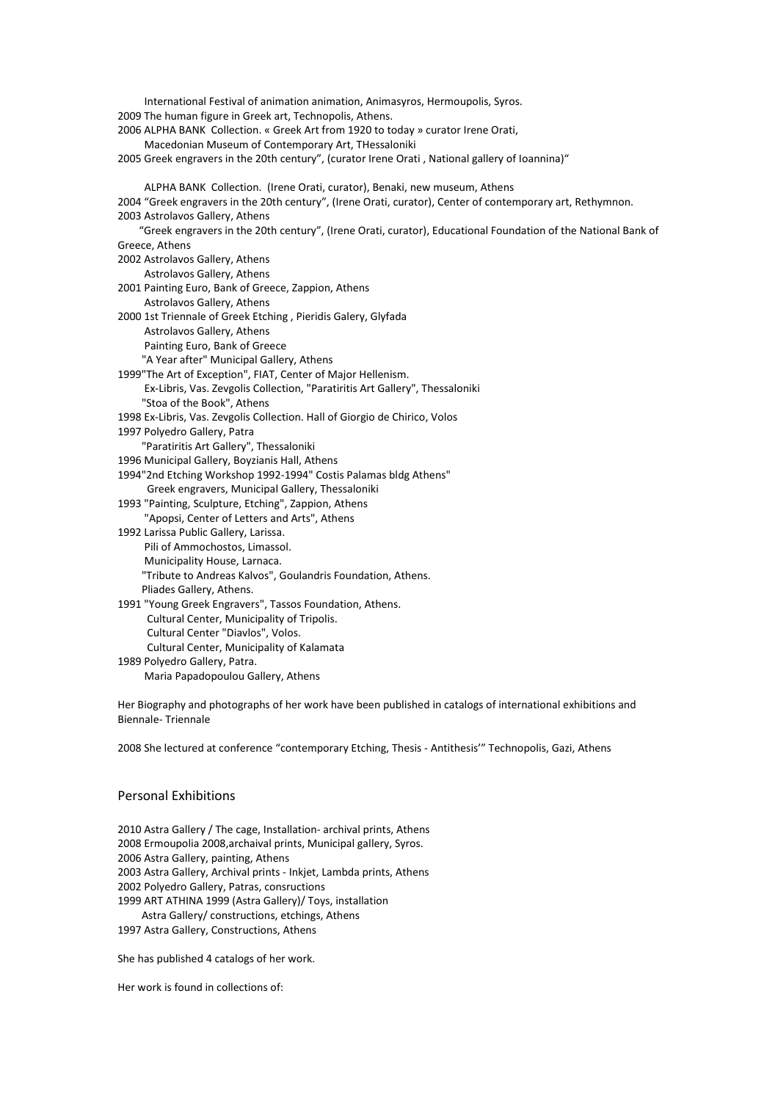International Festival of animation animation, Αnimasyros, Hermoupolis, Syros. 2009 The human figure in Greek art, Technopolis, Athens. 2006 ALPHA BANK Collection. « Greek Art from 1920 to today » curator Irene Orati, Macedonian Museum of Contemporary Art, THessaloniki 2005 Greek engravers in the 20th century", (curator Irene Orati , National gallery of Ioannina)" ALPHA BANK Collection. (Irene Orati, curator), Benaki, new museum, Athens 2004 "Greek engravers in the 20th century", (Irene Orati, curator), Center of contemporary art, Rethymnon. 2003 Astrolavos Gallery, Athens "Greek engravers in the 20th century", (Irene Orati, curator), Educational Foundation of the National Bank of Greece, Athens 2002 Astrolavos Gallery, Athens Astrolavos Gallery, Athens 2001 Painting Euro, Bank of Greece, Zappion, Athens Astrolavos Gallery, Athens 2000 1st Triennale of Greek Etching , Pieridis Galery, Glyfada Astrolavos Gallery, Athens Painting Euro, Bank of Greece "A Year after" Municipal Gallery, Athens 1999"The Art of Exception", FIAT, Center of Major Hellenism. Ex-Libris, Vas. Zevgolis Collection, "Paratiritis Art Gallery", Thessaloniki "Stoa of the Book", Athens 1998 Ex-Libris, Vas. Zevgolis Collection. Hall of Giorgio de Chirico, Volos 1997 Polyedro Gallery, Patra "Paratiritis Art Gallery", Thessaloniki 1996 Municipal Gallery, Boyzianis Hall, Athens 1994"2nd Etching Workshop 1992-1994" Costis Palamas bldg Athens" Greek engravers, Municipal Gallery, Thessaloniki 1993 "Painting, Sculpture, Etching", Zappion, Athens "Apopsi, Center of Letters and Arts", Athens 1992 Larissa Public Gallery, Larissa. Pili of Ammochostos, Limassol. Municipality House, Larnaca. "Tribute to Andreas Kalvos", Goulandris Foundation, Athens. Pliades Gallery, Athens. 1991 "Young Greek Engravers", Tassos Foundation, Athens. Cultural Center, Municipality of Tripolis. Cultural Center "Diavlos", Volos. Cultural Center, Municipality of Kalamata 1989 Polyedro Gallery, Patra. Maria Papadopoulou Gallery, Athens

Her Biography and photographs of her work have been published in catalogs of international exhibitions and Biennale- Triennale

2008 She lectured at conference "contemporary Etching, Thesis - Antithesis'" Technopolis, Gazi, Athens

# Personal Exhibitions

2010 Astra Gallery / The cage, Installation- archival prints, Athens 2008 Ermoupolia 2008,archaival prints, Municipal gallery, Syros. 2006 Astra Gallery, painting, Athens 2003 Astra Gallery, Archival prints - Inkjet, Lambda prints, Athens 2002 Polyedro Gallery, Patras, consructions 1999 ART ATHINA 1999 (Astra Gallery)/ Toys, installation

Astra Gallery/ constructions, etchings, Athens

1997 Astra Gallery, Constructions, Athens

She has published 4 catalogs of her work.

Her work is found in collections of: